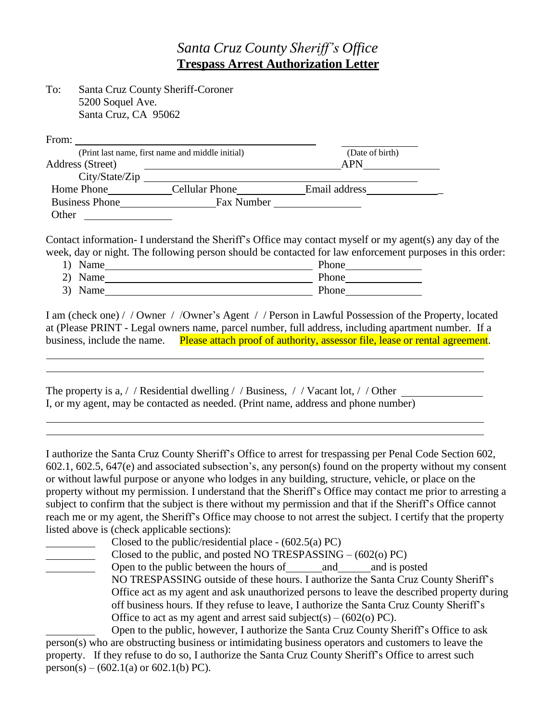## *Santa Cruz County Sheriff's Office* **Trespass Arrest Authorization Letter**

| To: | <b>Santa Cruz County Sheriff-Coroner</b> |
|-----|------------------------------------------|
|     | 5200 Soquel Ave.                         |
|     | Santa Cruz, CA 95062                     |

| From:                 |                                                  |                 |  |
|-----------------------|--------------------------------------------------|-----------------|--|
|                       | (Print last name, first name and middle initial) | (Date of birth) |  |
| Address (Street)      |                                                  | APN             |  |
| City/State/Zip        |                                                  |                 |  |
| Home Phone            | <b>Cellular Phone</b>                            | Email address   |  |
| <b>Business Phone</b> | Fax Number                                       |                 |  |
| Other                 |                                                  |                 |  |

Contact information- I understand the Sheriff's Office may contact myself or my agent(s) any day of the week, day or night. The following person should be contacted for law enforcement purposes in this order:

| 1) Name | Phone |
|---------|-------|
| 2) Name | Phone |
| 3) Name | Phone |

I am (check one) / / Owner / /Owner's Agent / / Person in Lawful Possession of the Property, located at (Please PRINT - Legal owners name, parcel number, full address, including apartment number. If a business, include the name. Please attach proof of authority, assessor file, lease or rental agreement.

The property is a, / / Residential dwelling / / Business, / / Vacant lot, / / Other I, or my agent, may be contacted as needed. (Print name, address and phone number)

I authorize the Santa Cruz County Sheriff's Office to arrest for trespassing per Penal Code Section 602, 602.1, 602.5, 647(e) and associated subsection's, any person(s) found on the property without my consent or without lawful purpose or anyone who lodges in any building, structure, vehicle, or place on the property without my permission. I understand that the Sheriff's Office may contact me prior to arresting a subject to confirm that the subject is there without my permission and that if the Sheriff's Office cannot reach me or my agent, the Sheriff's Office may choose to not arrest the subject. I certify that the property listed above is (check applicable sections):

Closed to the public/residential place - (602.5(a) PC)

Closed to the public, and posted NO TRESPASSING – (602(o) PC)

Open to the public between the hours of and and is posted NO TRESPASSING outside of these hours. I authorize the Santa Cruz County Sheriff's Office act as my agent and ask unauthorized persons to leave the described property during off business hours. If they refuse to leave, I authorize the Santa Cruz County Sheriff's Office to act as my agent and arrest said subject(s) –  $(602(o)$  PC).

Open to the public, however, I authorize the Santa Cruz County Sheriff's Office to ask person(s) who are obstructing business or intimidating business operators and customers to leave the property. If they refuse to do so, I authorize the Santa Cruz County Sheriff's Office to arrest such person(s) – (602.1(a) or 602.1(b) PC).